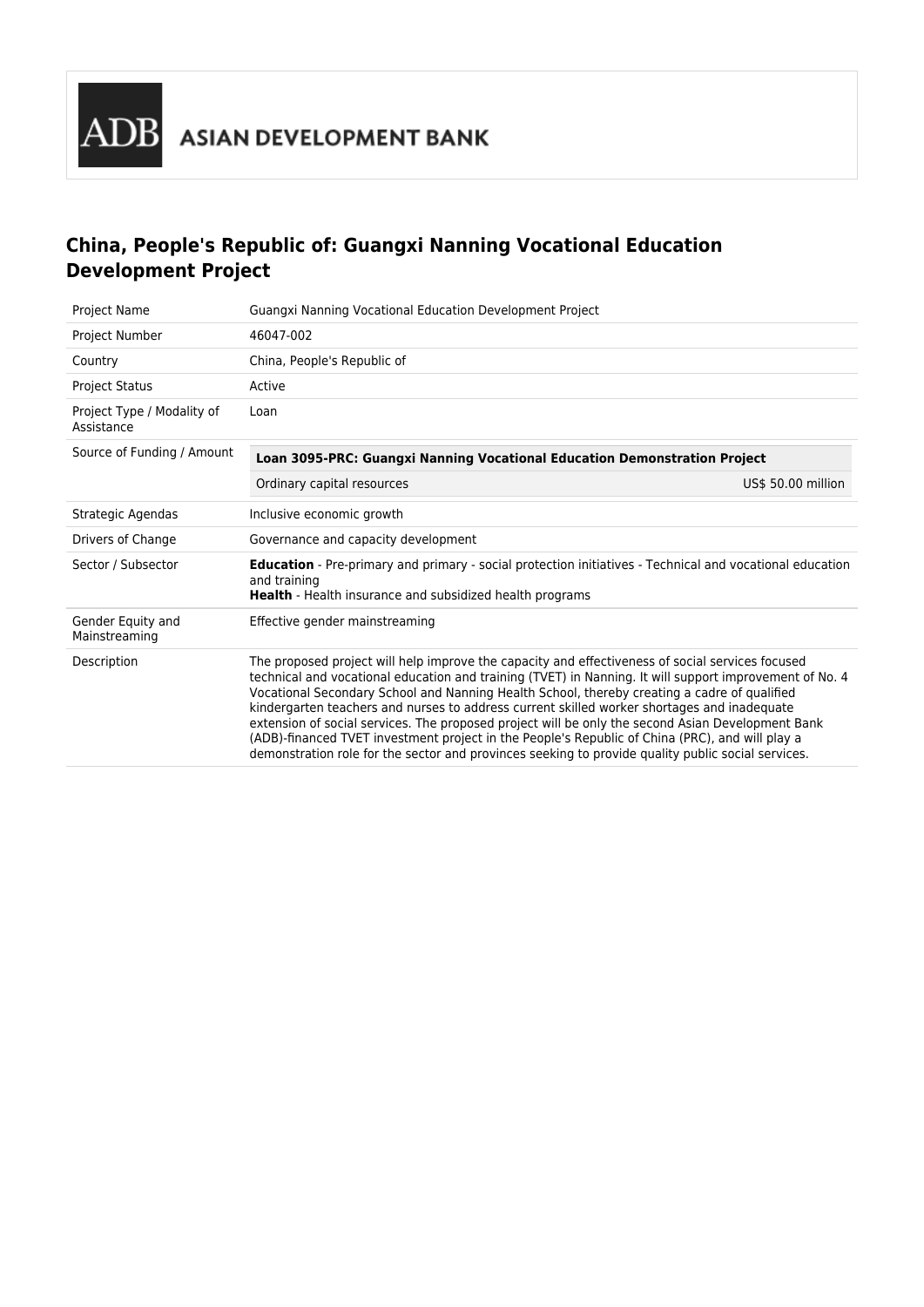# **China, People's Republic of: Guangxi Nanning Vocational Education Development Project**

| Project Name                             | Guangxi Nanning Vocational Education Development Project                                                                                                                                                                                                                                                                                                                                                                                                                                                                                                                                                                                                                                                                 |                    |  |
|------------------------------------------|--------------------------------------------------------------------------------------------------------------------------------------------------------------------------------------------------------------------------------------------------------------------------------------------------------------------------------------------------------------------------------------------------------------------------------------------------------------------------------------------------------------------------------------------------------------------------------------------------------------------------------------------------------------------------------------------------------------------------|--------------------|--|
| Project Number                           | 46047-002                                                                                                                                                                                                                                                                                                                                                                                                                                                                                                                                                                                                                                                                                                                |                    |  |
| Country                                  | China, People's Republic of                                                                                                                                                                                                                                                                                                                                                                                                                                                                                                                                                                                                                                                                                              |                    |  |
| <b>Project Status</b>                    | Active                                                                                                                                                                                                                                                                                                                                                                                                                                                                                                                                                                                                                                                                                                                   |                    |  |
| Project Type / Modality of<br>Assistance | Loan                                                                                                                                                                                                                                                                                                                                                                                                                                                                                                                                                                                                                                                                                                                     |                    |  |
| Source of Funding / Amount               | Loan 3095-PRC: Guangxi Nanning Vocational Education Demonstration Project                                                                                                                                                                                                                                                                                                                                                                                                                                                                                                                                                                                                                                                |                    |  |
|                                          | Ordinary capital resources                                                                                                                                                                                                                                                                                                                                                                                                                                                                                                                                                                                                                                                                                               | US\$ 50.00 million |  |
| Strategic Agendas                        | Inclusive economic growth                                                                                                                                                                                                                                                                                                                                                                                                                                                                                                                                                                                                                                                                                                |                    |  |
| Drivers of Change                        | Governance and capacity development                                                                                                                                                                                                                                                                                                                                                                                                                                                                                                                                                                                                                                                                                      |                    |  |
| Sector / Subsector                       | Education - Pre-primary and primary - social protection initiatives - Technical and vocational education<br>and training<br><b>Health</b> - Health insurance and subsidized health programs                                                                                                                                                                                                                                                                                                                                                                                                                                                                                                                              |                    |  |
| Gender Equity and<br>Mainstreaming       | Effective gender mainstreaming                                                                                                                                                                                                                                                                                                                                                                                                                                                                                                                                                                                                                                                                                           |                    |  |
| Description                              | The proposed project will help improve the capacity and effectiveness of social services focused<br>technical and vocational education and training (TVET) in Nanning. It will support improvement of No. 4<br>Vocational Secondary School and Nanning Health School, thereby creating a cadre of qualified<br>kindergarten teachers and nurses to address current skilled worker shortages and inadequate<br>extension of social services. The proposed project will be only the second Asian Development Bank<br>(ADB)-financed TVET investment project in the People's Republic of China (PRC), and will play a<br>demonstration role for the sector and provinces seeking to provide quality public social services. |                    |  |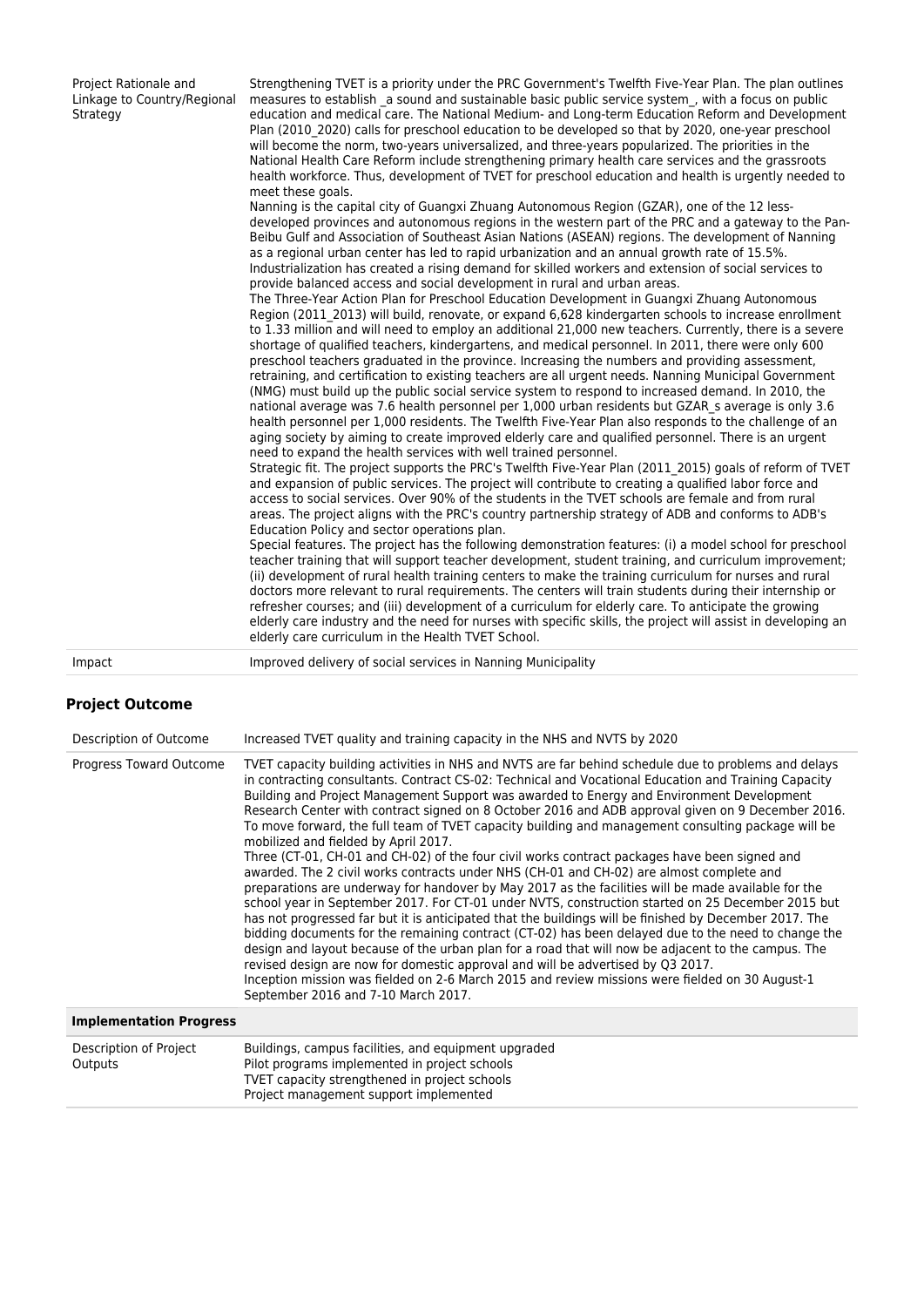| Project Rationale and<br>Linkage to Country/Regional<br>Strategy | Strengthening TVET is a priority under the PRC Government's Twelfth Five-Year Plan. The plan outlines<br>measures to establish a sound and sustainable basic public service system, with a focus on public<br>education and medical care. The National Medium- and Long-term Education Reform and Development<br>Plan (2010 2020) calls for preschool education to be developed so that by 2020, one-year preschool<br>will become the norm, two-years universalized, and three-years popularized. The priorities in the<br>National Health Care Reform include strengthening primary health care services and the grassroots<br>health workforce. Thus, development of TVET for preschool education and health is urgently needed to<br>meet these goals.<br>Nanning is the capital city of Guangxi Zhuang Autonomous Region (GZAR), one of the 12 less-<br>developed provinces and autonomous regions in the western part of the PRC and a gateway to the Pan-<br>Beibu Gulf and Association of Southeast Asian Nations (ASEAN) regions. The development of Nanning<br>as a regional urban center has led to rapid urbanization and an annual growth rate of 15.5%.<br>Industrialization has created a rising demand for skilled workers and extension of social services to<br>provide balanced access and social development in rural and urban areas.<br>The Three-Year Action Plan for Preschool Education Development in Guangxi Zhuang Autonomous<br>Region (2011 2013) will build, renovate, or expand 6,628 kindergarten schools to increase enrollment<br>to 1.33 million and will need to employ an additional 21,000 new teachers. Currently, there is a severe<br>shortage of qualified teachers, kindergartens, and medical personnel. In 2011, there were only 600<br>preschool teachers graduated in the province. Increasing the numbers and providing assessment,<br>retraining, and certification to existing teachers are all urgent needs. Nanning Municipal Government<br>(NMG) must build up the public social service system to respond to increased demand. In 2010, the<br>national average was 7.6 health personnel per 1,000 urban residents but GZAR s average is only 3.6<br>health personnel per 1,000 residents. The Twelfth Five-Year Plan also responds to the challenge of an<br>aging society by aiming to create improved elderly care and qualified personnel. There is an urgent<br>need to expand the health services with well trained personnel.<br>Strategic fit. The project supports the PRC's Twelfth Five-Year Plan (2011 2015) goals of reform of TVET<br>and expansion of public services. The project will contribute to creating a qualified labor force and<br>access to social services. Over 90% of the students in the TVET schools are female and from rural<br>areas. The project aligns with the PRC's country partnership strategy of ADB and conforms to ADB's<br>Education Policy and sector operations plan.<br>Special features. The project has the following demonstration features: (i) a model school for preschool<br>teacher training that will support teacher development, student training, and curriculum improvement;<br>(ii) development of rural health training centers to make the training curriculum for nurses and rural<br>doctors more relevant to rural requirements. The centers will train students during their internship or<br>refresher courses; and (iii) development of a curriculum for elderly care. To anticipate the growing<br>elderly care industry and the need for nurses with specific skills, the project will assist in developing an<br>elderly care curriculum in the Health TVET School. |
|------------------------------------------------------------------|-----------------------------------------------------------------------------------------------------------------------------------------------------------------------------------------------------------------------------------------------------------------------------------------------------------------------------------------------------------------------------------------------------------------------------------------------------------------------------------------------------------------------------------------------------------------------------------------------------------------------------------------------------------------------------------------------------------------------------------------------------------------------------------------------------------------------------------------------------------------------------------------------------------------------------------------------------------------------------------------------------------------------------------------------------------------------------------------------------------------------------------------------------------------------------------------------------------------------------------------------------------------------------------------------------------------------------------------------------------------------------------------------------------------------------------------------------------------------------------------------------------------------------------------------------------------------------------------------------------------------------------------------------------------------------------------------------------------------------------------------------------------------------------------------------------------------------------------------------------------------------------------------------------------------------------------------------------------------------------------------------------------------------------------------------------------------------------------------------------------------------------------------------------------------------------------------------------------------------------------------------------------------------------------------------------------------------------------------------------------------------------------------------------------------------------------------------------------------------------------------------------------------------------------------------------------------------------------------------------------------------------------------------------------------------------------------------------------------------------------------------------------------------------------------------------------------------------------------------------------------------------------------------------------------------------------------------------------------------------------------------------------------------------------------------------------------------------------------------------------------------------------------------------------------------------------------------------------------------------------------------------------------------------------------------------------------------------------------------------------------------------------------------------------------------------------------------------------------------------------------------------------------------------------------------------------------------------------------------------------------------------------------------------------------------------------------------|
| Impact                                                           | Improved delivery of social services in Nanning Municipality                                                                                                                                                                                                                                                                                                                                                                                                                                                                                                                                                                                                                                                                                                                                                                                                                                                                                                                                                                                                                                                                                                                                                                                                                                                                                                                                                                                                                                                                                                                                                                                                                                                                                                                                                                                                                                                                                                                                                                                                                                                                                                                                                                                                                                                                                                                                                                                                                                                                                                                                                                                                                                                                                                                                                                                                                                                                                                                                                                                                                                                                                                                                                                                                                                                                                                                                                                                                                                                                                                                                                                                                                                        |

# **Project Outcome**

| Description of Outcome            | Increased TVET quality and training capacity in the NHS and NVTS by 2020                                                                                                                                                                                                                                                                                                                                                                                                                                                                                                                                                                                                                                                                                                                                                                                                                                                                                                                                                                                                                                                                                                                                                                                                                                                                                                                                                                                                                                                   |
|-----------------------------------|----------------------------------------------------------------------------------------------------------------------------------------------------------------------------------------------------------------------------------------------------------------------------------------------------------------------------------------------------------------------------------------------------------------------------------------------------------------------------------------------------------------------------------------------------------------------------------------------------------------------------------------------------------------------------------------------------------------------------------------------------------------------------------------------------------------------------------------------------------------------------------------------------------------------------------------------------------------------------------------------------------------------------------------------------------------------------------------------------------------------------------------------------------------------------------------------------------------------------------------------------------------------------------------------------------------------------------------------------------------------------------------------------------------------------------------------------------------------------------------------------------------------------|
| <b>Progress Toward Outcome</b>    | TVET capacity building activities in NHS and NVTS are far behind schedule due to problems and delays<br>in contracting consultants. Contract CS-02: Technical and Vocational Education and Training Capacity<br>Building and Project Management Support was awarded to Energy and Environment Development<br>Research Center with contract signed on 8 October 2016 and ADB approval given on 9 December 2016.<br>To move forward, the full team of TVET capacity building and management consulting package will be<br>mobilized and fielded by April 2017.<br>Three (CT-01, CH-01 and CH-02) of the four civil works contract packages have been signed and<br>awarded. The 2 civil works contracts under NHS (CH-01 and CH-02) are almost complete and<br>preparations are underway for handover by May 2017 as the facilities will be made available for the<br>school year in September 2017. For CT-01 under NVTS, construction started on 25 December 2015 but<br>has not progressed far but it is anticipated that the buildings will be finished by December 2017. The<br>bidding documents for the remaining contract (CT-02) has been delayed due to the need to change the<br>design and layout because of the urban plan for a road that will now be adjacent to the campus. The<br>revised design are now for domestic approval and will be advertised by Q3 2017.<br>Inception mission was fielded on 2-6 March 2015 and review missions were fielded on 30 August-1<br>September 2016 and 7-10 March 2017. |
| <b>Implementation Progress</b>    |                                                                                                                                                                                                                                                                                                                                                                                                                                                                                                                                                                                                                                                                                                                                                                                                                                                                                                                                                                                                                                                                                                                                                                                                                                                                                                                                                                                                                                                                                                                            |
| Description of Project<br>Outputs | Buildings, campus facilities, and equipment upgraded<br>Pilot programs implemented in project schools<br>TVET capacity strengthened in project schools                                                                                                                                                                                                                                                                                                                                                                                                                                                                                                                                                                                                                                                                                                                                                                                                                                                                                                                                                                                                                                                                                                                                                                                                                                                                                                                                                                     |

Project management support implemented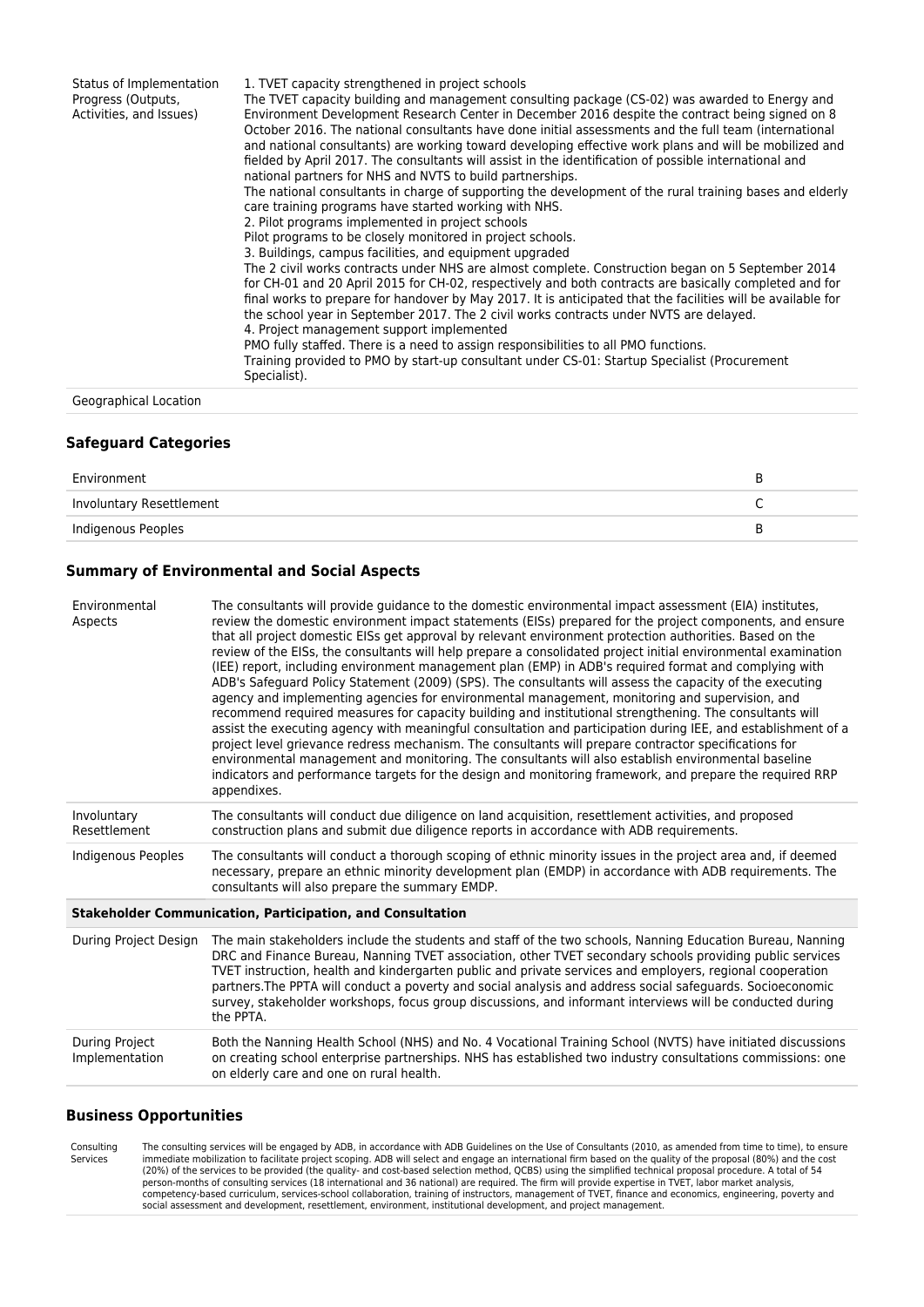| Status of Implementation<br>Progress (Outputs,<br>Activities, and Issues) | 1. TVET capacity strengthened in project schools<br>The TVET capacity building and management consulting package (CS-02) was awarded to Energy and<br>Environment Development Research Center in December 2016 despite the contract being signed on 8<br>October 2016. The national consultants have done initial assessments and the full team (international<br>and national consultants) are working toward developing effective work plans and will be mobilized and<br>fielded by April 2017. The consultants will assist in the identification of possible international and<br>national partners for NHS and NVTS to build partnerships.<br>The national consultants in charge of supporting the development of the rural training bases and elderly<br>care training programs have started working with NHS.<br>2. Pilot programs implemented in project schools<br>Pilot programs to be closely monitored in project schools.<br>3. Buildings, campus facilities, and equipment upgraded<br>The 2 civil works contracts under NHS are almost complete. Construction began on 5 September 2014<br>for CH-01 and 20 April 2015 for CH-02, respectively and both contracts are basically completed and for<br>final works to prepare for handover by May 2017. It is anticipated that the facilities will be available for<br>the school year in September 2017. The 2 civil works contracts under NVTS are delayed.<br>4. Project management support implemented<br>PMO fully staffed. There is a need to assign responsibilities to all PMO functions.<br>Training provided to PMO by start-up consultant under CS-01: Startup Specialist (Procurement<br>Specialist). |
|---------------------------------------------------------------------------|--------------------------------------------------------------------------------------------------------------------------------------------------------------------------------------------------------------------------------------------------------------------------------------------------------------------------------------------------------------------------------------------------------------------------------------------------------------------------------------------------------------------------------------------------------------------------------------------------------------------------------------------------------------------------------------------------------------------------------------------------------------------------------------------------------------------------------------------------------------------------------------------------------------------------------------------------------------------------------------------------------------------------------------------------------------------------------------------------------------------------------------------------------------------------------------------------------------------------------------------------------------------------------------------------------------------------------------------------------------------------------------------------------------------------------------------------------------------------------------------------------------------------------------------------------------------------------------------------------------------------------------------------------------------------------|
| Geographical Location                                                     |                                                                                                                                                                                                                                                                                                                                                                                                                                                                                                                                                                                                                                                                                                                                                                                                                                                                                                                                                                                                                                                                                                                                                                                                                                                                                                                                                                                                                                                                                                                                                                                                                                                                                |

#### **Safeguard Categories**

| Environment              |  |
|--------------------------|--|
| Involuntary Resettlement |  |
| Indigenous Peoples       |  |

# **Summary of Environmental and Social Aspects**

| Environmental<br>Aspects                | The consultants will provide quidance to the domestic environmental impact assessment (EIA) institutes,<br>review the domestic environment impact statements (EISs) prepared for the project components, and ensure<br>that all project domestic EISs get approval by relevant environment protection authorities. Based on the<br>review of the EISs, the consultants will help prepare a consolidated project initial environmental examination<br>(IEE) report, including environment management plan (EMP) in ADB's required format and complying with<br>ADB's Safeguard Policy Statement (2009) (SPS). The consultants will assess the capacity of the executing<br>agency and implementing agencies for environmental management, monitoring and supervision, and<br>recommend required measures for capacity building and institutional strengthening. The consultants will<br>assist the executing agency with meaningful consultation and participation during IEE, and establishment of a<br>project level grievance redress mechanism. The consultants will prepare contractor specifications for<br>environmental management and monitoring. The consultants will also establish environmental baseline<br>indicators and performance targets for the design and monitoring framework, and prepare the required RRP<br>appendixes. |
|-----------------------------------------|-------------------------------------------------------------------------------------------------------------------------------------------------------------------------------------------------------------------------------------------------------------------------------------------------------------------------------------------------------------------------------------------------------------------------------------------------------------------------------------------------------------------------------------------------------------------------------------------------------------------------------------------------------------------------------------------------------------------------------------------------------------------------------------------------------------------------------------------------------------------------------------------------------------------------------------------------------------------------------------------------------------------------------------------------------------------------------------------------------------------------------------------------------------------------------------------------------------------------------------------------------------------------------------------------------------------------------------------------|
| Involuntary<br>Resettlement             | The consultants will conduct due diligence on land acquisition, resettlement activities, and proposed<br>construction plans and submit due diligence reports in accordance with ADB requirements.                                                                                                                                                                                                                                                                                                                                                                                                                                                                                                                                                                                                                                                                                                                                                                                                                                                                                                                                                                                                                                                                                                                                               |
| <b>Indigenous Peoples</b>               | The consultants will conduct a thorough scoping of ethnic minority issues in the project area and, if deemed<br>necessary, prepare an ethnic minority development plan (EMDP) in accordance with ADB requirements. The<br>consultants will also prepare the summary EMDP.                                                                                                                                                                                                                                                                                                                                                                                                                                                                                                                                                                                                                                                                                                                                                                                                                                                                                                                                                                                                                                                                       |
|                                         | <b>Stakeholder Communication, Participation, and Consultation</b>                                                                                                                                                                                                                                                                                                                                                                                                                                                                                                                                                                                                                                                                                                                                                                                                                                                                                                                                                                                                                                                                                                                                                                                                                                                                               |
| During Project Design                   | The main stakeholders include the students and staff of the two schools, Nanning Education Bureau, Nanning<br>DRC and Finance Bureau, Nanning TVET association, other TVET secondary schools providing public services<br>TVET instruction, health and kindergarten public and private services and employers, regional cooperation<br>partners. The PPTA will conduct a poverty and social analysis and address social safeguards. Socioeconomic<br>survey, stakeholder workshops, focus group discussions, and informant interviews will be conducted during<br>the PPTA.                                                                                                                                                                                                                                                                                                                                                                                                                                                                                                                                                                                                                                                                                                                                                                     |
| <b>During Project</b><br>Implementation | Both the Nanning Health School (NHS) and No. 4 Vocational Training School (NVTS) have initiated discussions<br>on creating school enterprise partnerships. NHS has established two industry consultations commissions: one<br>on elderly care and one on rural health.                                                                                                                                                                                                                                                                                                                                                                                                                                                                                                                                                                                                                                                                                                                                                                                                                                                                                                                                                                                                                                                                          |
|                                         |                                                                                                                                                                                                                                                                                                                                                                                                                                                                                                                                                                                                                                                                                                                                                                                                                                                                                                                                                                                                                                                                                                                                                                                                                                                                                                                                                 |

#### **Business Opportunities**

Consulting **Services** The consulting services will be engaged by ADB, in accordance with ADB Guidelines on the Use of Consultants (2010, as amended from time to time), to ensure<br>immediate mobilization to facilitate project scoping. ADB will sel (20%) of the services to be provided (the quality- and cost-based selection method, QCBS) using the simplified technical proposal procedure. A total of 54<br>person-months of consulting services (18 international and 36 natio social assessment and development, resettlement, environment, institutional development, and project management.